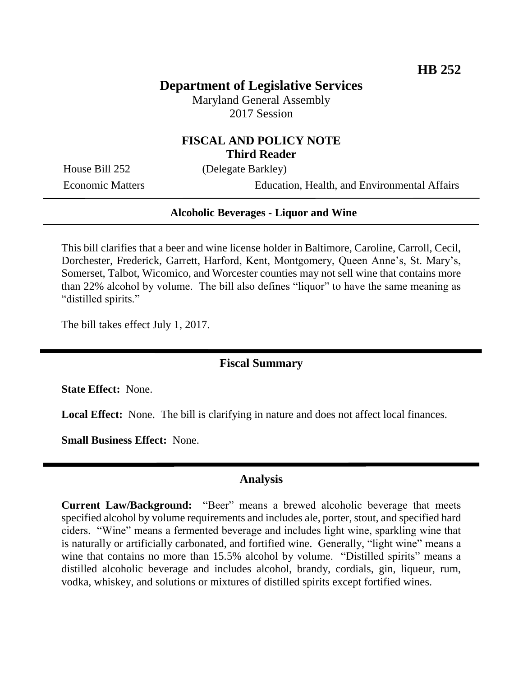# **Department of Legislative Services**

Maryland General Assembly 2017 Session

### **FISCAL AND POLICY NOTE Third Reader**

House Bill 252 (Delegate Barkley)

Economic Matters Education, Health, and Environmental Affairs

#### **Alcoholic Beverages - Liquor and Wine**

This bill clarifies that a beer and wine license holder in Baltimore, Caroline, Carroll, Cecil, Dorchester, Frederick, Garrett, Harford, Kent, Montgomery, Queen Anne's, St. Mary's, Somerset, Talbot, Wicomico, and Worcester counties may not sell wine that contains more than 22% alcohol by volume. The bill also defines "liquor" to have the same meaning as "distilled spirits."

The bill takes effect July 1, 2017.

## **Fiscal Summary**

**State Effect:** None.

**Local Effect:** None. The bill is clarifying in nature and does not affect local finances.

**Small Business Effect:** None.

#### **Analysis**

**Current Law/Background:** "Beer" means a brewed alcoholic beverage that meets specified alcohol by volume requirements and includes ale, porter, stout, and specified hard ciders. "Wine" means a fermented beverage and includes light wine, sparkling wine that is naturally or artificially carbonated, and fortified wine. Generally, "light wine" means a wine that contains no more than 15.5% alcohol by volume. "Distilled spirits" means a distilled alcoholic beverage and includes alcohol, brandy, cordials, gin, liqueur, rum, vodka, whiskey, and solutions or mixtures of distilled spirits except fortified wines.